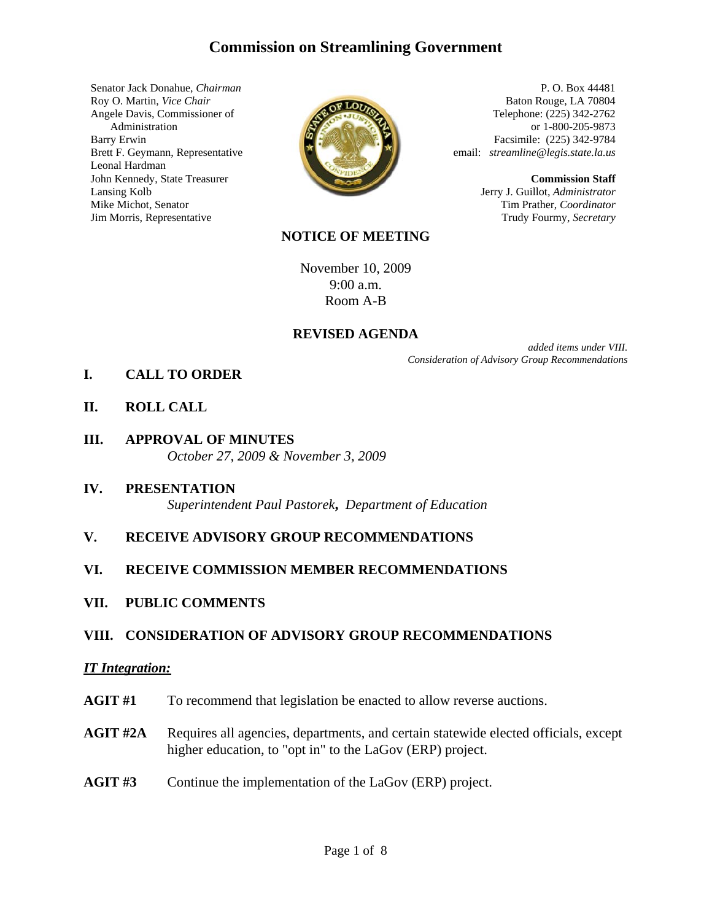# **Commission on Streamlining Government**

Senator Jack Donahue, *Chairman* Roy O. Martin, *Vice Chair* Angele Davis, Commissioner of Administration Barry Erwin Brett F. Geymann, Representative Leonal Hardman John Kennedy, State Treasurer Lansing Kolb Mike Michot, Senator Jim Morris, Representative



P. O. Box 44481 Baton Rouge, LA 70804 Telephone: (225) 342-2762 or 1-800-205-9873 Facsimile: (225) 342-9784 email: *streamline@legis.state.la.us*

> **Commission Staff** Jerry J. Guillot, *Administrator* Tim Prather, *Coordinator* Trudy Fourmy, *Secretary*

### **NOTICE OF MEETING**

November 10, 2009 9:00 a.m. Room A-B

### **REVISED AGENDA**

*added items under VIII. Consideration of Advisory Group Recommendations*

- **I. CALL TO ORDER**
- **II. ROLL CALL**
- **III. APPROVAL OF MINUTES** *October 27, 2009 & November 3, 2009*
- **IV. PRESENTATION** *Superintendent Paul Pastorek***,** *Department of Education*
- **V. RECEIVE ADVISORY GROUP RECOMMENDATIONS**

### **VI. RECEIVE COMMISSION MEMBER RECOMMENDATIONS**

**VII. PUBLIC COMMENTS**

### **VIII. CONSIDERATION OF ADVISORY GROUP RECOMMENDATIONS**

#### *IT Integration:*

- **AGIT #1** To recommend that legislation be enacted to allow reverse auctions.
- **AGIT #2A** Requires all agencies, departments, and certain statewide elected officials, except higher education, to "opt in" to the LaGov (ERP) project.
- **AGIT #3** Continue the implementation of the LaGov (ERP) project.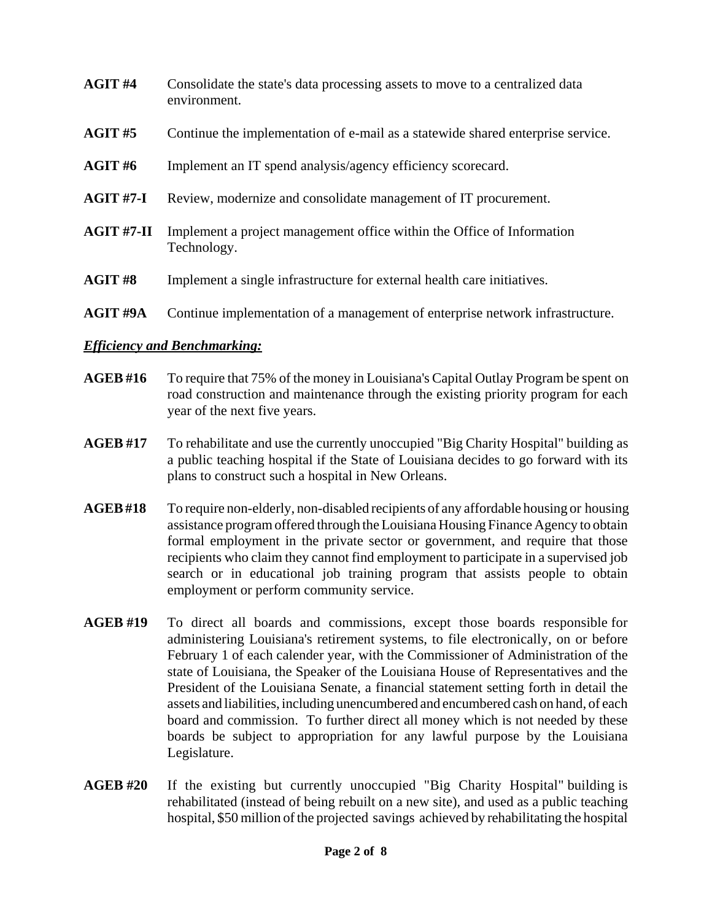| AGIT#4          | Consolidate the state's data processing assets to move to a centralized data<br>environment. |
|-----------------|----------------------------------------------------------------------------------------------|
| AGIT#5          | Continue the implementation of e-mail as a statewide shared enterprise service.              |
| AGIT#6          | Implement an IT spend analysis/agency efficiency scorecard.                                  |
| $AGIT#7-I$      | Review, modernize and consolidate management of IT procurement.                              |
| $AGIT#7-II$     | Implement a project management office within the Office of Information<br>Technology.        |
| AGIT#8          | Implement a single infrastructure for external health care initiatives.                      |
| <b>AGIT #9A</b> | Continue implementation of a management of enterprise network infrastructure.                |

# *Efficiency and Benchmarking:*

- **AGEB #16** To require that 75% of the money in Louisiana's Capital Outlay Program be spent on road construction and maintenance through the existing priority program for each year of the next five years.
- **AGEB #17** To rehabilitate and use the currently unoccupied "Big Charity Hospital" building as a public teaching hospital if the State of Louisiana decides to go forward with its plans to construct such a hospital in New Orleans.
- **AGEB #18** To require non-elderly, non-disabled recipients of any affordable housing or housing assistance program offered through the Louisiana Housing Finance Agency to obtain formal employment in the private sector or government, and require that those recipients who claim they cannot find employment to participate in a supervised job search or in educational job training program that assists people to obtain employment or perform community service.
- **AGEB #19** To direct all boards and commissions, except those boards responsible for administering Louisiana's retirement systems, to file electronically, on or before February 1 of each calender year, with the Commissioner of Administration of the state of Louisiana, the Speaker of the Louisiana House of Representatives and the President of the Louisiana Senate, a financial statement setting forth in detail the assets and liabilities, including unencumbered and encumbered cash on hand, of each board and commission. To further direct all money which is not needed by these boards be subject to appropriation for any lawful purpose by the Louisiana Legislature.
- **AGEB #20** If the existing but currently unoccupied "Big Charity Hospital" building is rehabilitated (instead of being rebuilt on a new site), and used as a public teaching hospital, \$50 million of the projected savings achieved by rehabilitating the hospital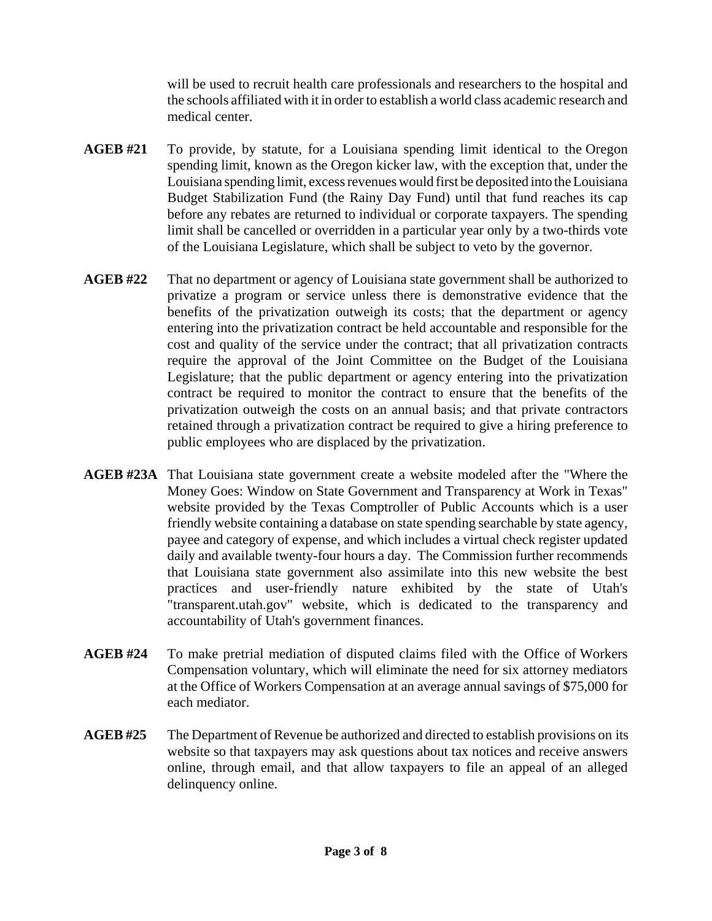will be used to recruit health care professionals and researchers to the hospital and the schools affiliated with it in order to establish a world class academic research and medical center.

- **AGEB #21** To provide, by statute, for a Louisiana spending limit identical to the Oregon spending limit, known as the Oregon kicker law, with the exception that, under the Louisiana spending limit, excess revenues would first be deposited into the Louisiana Budget Stabilization Fund (the Rainy Day Fund) until that fund reaches its cap before any rebates are returned to individual or corporate taxpayers. The spending limit shall be cancelled or overridden in a particular year only by a two-thirds vote of the Louisiana Legislature, which shall be subject to veto by the governor.
- **AGEB #22** That no department or agency of Louisiana state government shall be authorized to privatize a program or service unless there is demonstrative evidence that the benefits of the privatization outweigh its costs; that the department or agency entering into the privatization contract be held accountable and responsible for the cost and quality of the service under the contract; that all privatization contracts require the approval of the Joint Committee on the Budget of the Louisiana Legislature; that the public department or agency entering into the privatization contract be required to monitor the contract to ensure that the benefits of the privatization outweigh the costs on an annual basis; and that private contractors retained through a privatization contract be required to give a hiring preference to public employees who are displaced by the privatization.
- **AGEB #23A** That Louisiana state government create a website modeled after the "Where the Money Goes: Window on State Government and Transparency at Work in Texas" website provided by the Texas Comptroller of Public Accounts which is a user friendly website containing a database on state spending searchable by state agency, payee and category of expense, and which includes a virtual check register updated daily and available twenty-four hours a day. The Commission further recommends that Louisiana state government also assimilate into this new website the best practices and user-friendly nature exhibited by the state of Utah's "transparent.utah.gov" website, which is dedicated to the transparency and accountability of Utah's government finances.
- **AGEB #24** To make pretrial mediation of disputed claims filed with the Office of Workers Compensation voluntary, which will eliminate the need for six attorney mediators at the Office of Workers Compensation at an average annual savings of \$75,000 for each mediator.
- **AGEB #25** The Department of Revenue be authorized and directed to establish provisions on its website so that taxpayers may ask questions about tax notices and receive answers online, through email, and that allow taxpayers to file an appeal of an alleged delinquency online.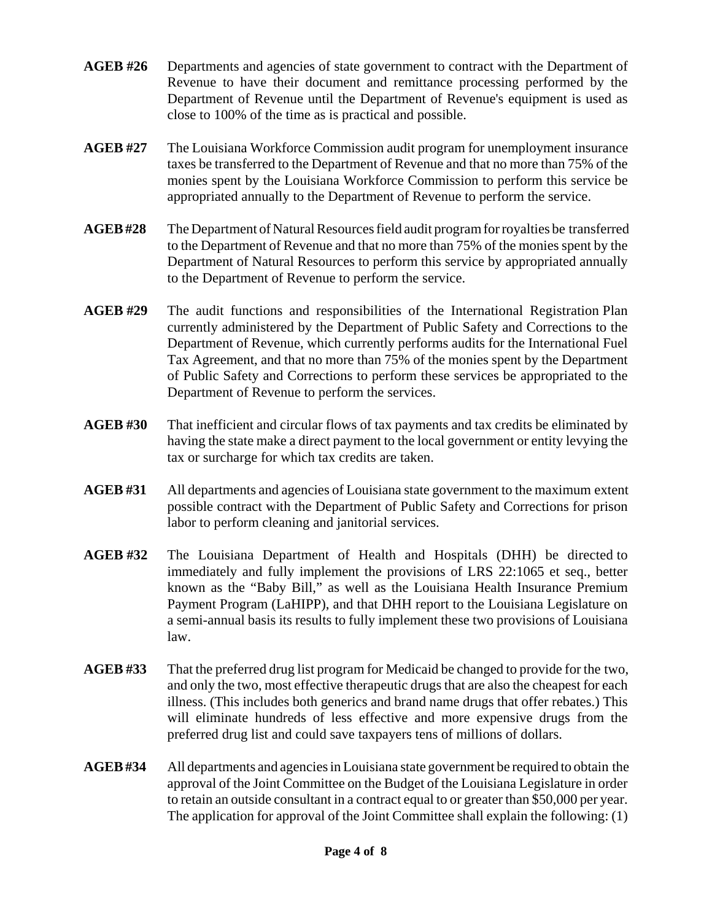- **AGEB #26** Departments and agencies of state government to contract with the Department of Revenue to have their document and remittance processing performed by the Department of Revenue until the Department of Revenue's equipment is used as close to 100% of the time as is practical and possible.
- **AGEB #27** The Louisiana Workforce Commission audit program for unemployment insurance taxes be transferred to the Department of Revenue and that no more than 75% of the monies spent by the Louisiana Workforce Commission to perform this service be appropriated annually to the Department of Revenue to perform the service.
- **AGEB #28** The Department of Natural Resources field audit program for royalties be transferred to the Department of Revenue and that no more than 75% of the monies spent by the Department of Natural Resources to perform this service by appropriated annually to the Department of Revenue to perform the service.
- **AGEB #29** The audit functions and responsibilities of the International Registration Plan currently administered by the Department of Public Safety and Corrections to the Department of Revenue, which currently performs audits for the International Fuel Tax Agreement, and that no more than 75% of the monies spent by the Department of Public Safety and Corrections to perform these services be appropriated to the Department of Revenue to perform the services.
- **AGEB #30** That inefficient and circular flows of tax payments and tax credits be eliminated by having the state make a direct payment to the local government or entity levying the tax or surcharge for which tax credits are taken.
- **AGEB #31** All departments and agencies of Louisiana state government to the maximum extent possible contract with the Department of Public Safety and Corrections for prison labor to perform cleaning and janitorial services.
- **AGEB #32** The Louisiana Department of Health and Hospitals (DHH) be directed to immediately and fully implement the provisions of LRS 22:1065 et seq., better known as the "Baby Bill," as well as the Louisiana Health Insurance Premium Payment Program (LaHIPP), and that DHH report to the Louisiana Legislature on a semi-annual basis its results to fully implement these two provisions of Louisiana law.
- **AGEB #33** That the preferred drug list program for Medicaid be changed to provide for the two, and only the two, most effective therapeutic drugs that are also the cheapest for each illness. (This includes both generics and brand name drugs that offer rebates.) This will eliminate hundreds of less effective and more expensive drugs from the preferred drug list and could save taxpayers tens of millions of dollars.
- **AGEB #34** All departments and agencies in Louisiana state government be required to obtain the approval of the Joint Committee on the Budget of the Louisiana Legislature in order to retain an outside consultant in a contract equal to or greater than \$50,000 per year. The application for approval of the Joint Committee shall explain the following: (1)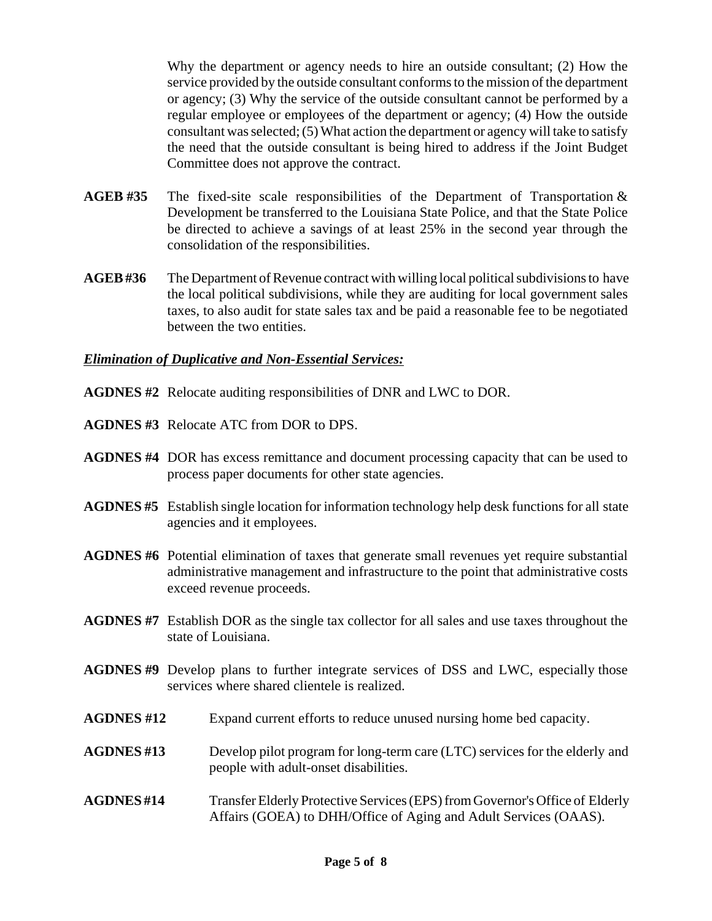Why the department or agency needs to hire an outside consultant; (2) How the service provided by the outside consultant conforms to the mission of the department or agency; (3) Why the service of the outside consultant cannot be performed by a regular employee or employees of the department or agency; (4) How the outside consultant was selected; (5) What action the department or agency will take to satisfy the need that the outside consultant is being hired to address if the Joint Budget Committee does not approve the contract.

- **AGEB #35** The fixed-site scale responsibilities of the Department of Transportation & Development be transferred to the Louisiana State Police, and that the State Police be directed to achieve a savings of at least 25% in the second year through the consolidation of the responsibilities.
- **AGEB #36** The Department of Revenue contract with willing local political subdivisions to have the local political subdivisions, while they are auditing for local government sales taxes, to also audit for state sales tax and be paid a reasonable fee to be negotiated between the two entities.

### *Elimination of Duplicative and Non-Essential Services:*

- **AGDNES #2** Relocate auditing responsibilities of DNR and LWC to DOR.
- **AGDNES #3** Relocate ATC from DOR to DPS.
- **AGDNES #4** DOR has excess remittance and document processing capacity that can be used to process paper documents for other state agencies.
- **AGDNES #5** Establish single location for information technology help desk functions for all state agencies and it employees.
- **AGDNES #6** Potential elimination of taxes that generate small revenues yet require substantial administrative management and infrastructure to the point that administrative costs exceed revenue proceeds.
- **AGDNES #7** Establish DOR as the single tax collector for all sales and use taxes throughout the state of Louisiana.
- **AGDNES #9** Develop plans to further integrate services of DSS and LWC, especially those services where shared clientele is realized.
- **AGDNES #12** Expand current efforts to reduce unused nursing home bed capacity.
- **AGDNES #13** Develop pilot program for long-term care (LTC) services for the elderly and people with adult-onset disabilities.
- **AGDNES #14** Transfer Elderly Protective Services (EPS) from Governor's Office of Elderly Affairs (GOEA) to DHH/Office of Aging and Adult Services (OAAS).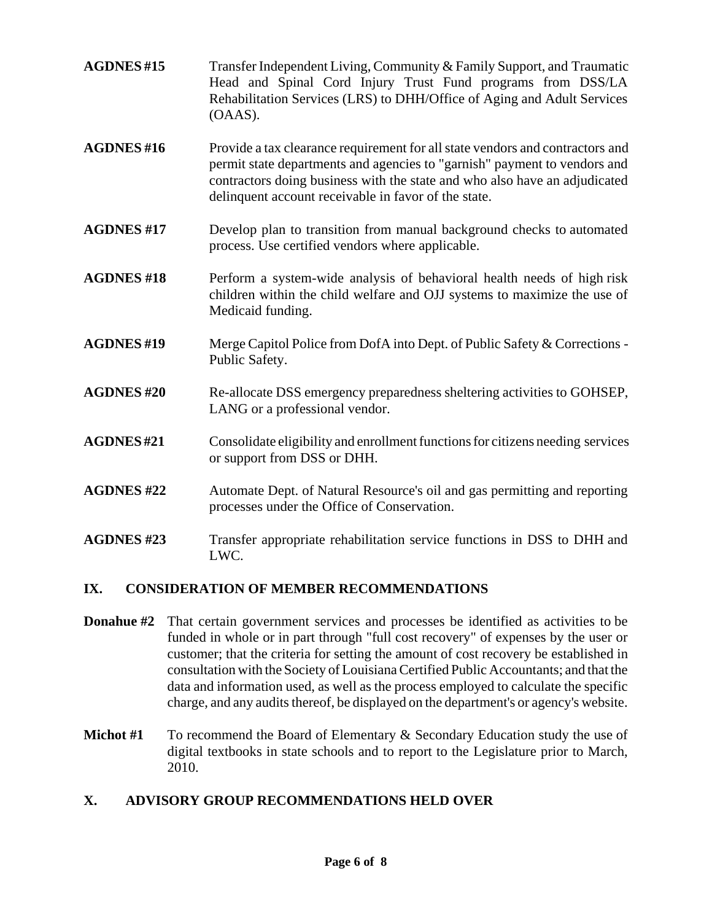- **AGDNES #15** Transfer Independent Living, Community & Family Support, and Traumatic Head and Spinal Cord Injury Trust Fund programs from DSS/LA Rehabilitation Services (LRS) to DHH/Office of Aging and Adult Services (OAAS).
- **AGDNES #16** Provide a tax clearance requirement for all state vendors and contractors and permit state departments and agencies to "garnish" payment to vendors and contractors doing business with the state and who also have an adjudicated delinquent account receivable in favor of the state.
- **AGDNES #17** Develop plan to transition from manual background checks to automated process. Use certified vendors where applicable.
- **AGDNES #18** Perform a system-wide analysis of behavioral health needs of high risk children within the child welfare and OJJ systems to maximize the use of Medicaid funding.
- **AGDNES #19** Merge Capitol Police from DofA into Dept. of Public Safety & Corrections Public Safety.
- **AGDNES #20** Re-allocate DSS emergency preparedness sheltering activities to GOHSEP, LANG or a professional vendor.
- **AGDNES #21** Consolidate eligibility and enrollment functions for citizens needing services or support from DSS or DHH.
- **AGDNES #22** Automate Dept. of Natural Resource's oil and gas permitting and reporting processes under the Office of Conservation.
- **AGDNES #23** Transfer appropriate rehabilitation service functions in DSS to DHH and LWC.

# **IX. CONSIDERATION OF MEMBER RECOMMENDATIONS**

- **Donahue #2** That certain government services and processes be identified as activities to be funded in whole or in part through "full cost recovery" of expenses by the user or customer; that the criteria for setting the amount of cost recovery be established in consultation with the Society of Louisiana Certified Public Accountants; and that the data and information used, as well as the process employed to calculate the specific charge, and any audits thereof, be displayed on the department's or agency's website.
- **Michot #1** To recommend the Board of Elementary & Secondary Education study the use of digital textbooks in state schools and to report to the Legislature prior to March, 2010.

# **X. ADVISORY GROUP RECOMMENDATIONS HELD OVER**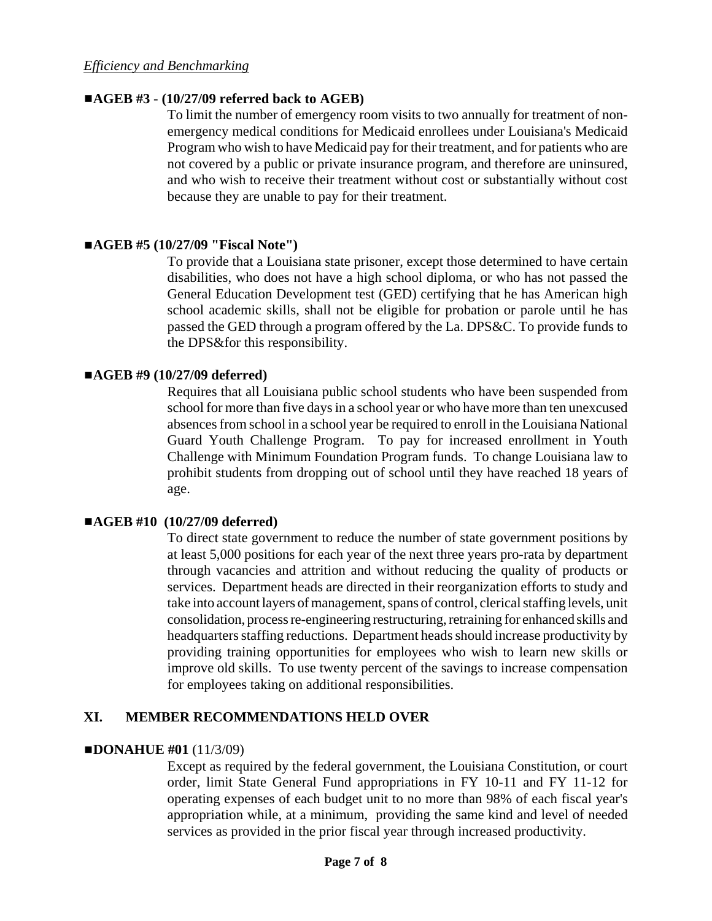### ■**AGEB #3** - (10/27/09 referred back to AGEB)

To limit the number of emergency room visits to two annually for treatment of nonemergency medical conditions for Medicaid enrollees under Louisiana's Medicaid Program who wish to have Medicaid pay for their treatment, and for patients who are not covered by a public or private insurance program, and therefore are uninsured, and who wish to receive their treatment without cost or substantially without cost because they are unable to pay for their treatment.

### #**AGEB #5 (10/27/09 "Fiscal Note")**

 To provide that a Louisiana state prisoner, except those determined to have certain disabilities, who does not have a high school diploma, or who has not passed the General Education Development test (GED) certifying that he has American high school academic skills, shall not be eligible for probation or parole until he has passed the GED through a program offered by the La. DPS&C. To provide funds to the DPS&for this responsibility.

### #**AGEB #9 (10/27/09 deferred)**

Requires that all Louisiana public school students who have been suspended from school for more than five days in a school year or who have more than ten unexcused absences from school in a school year be required to enroll in the Louisiana National Guard Youth Challenge Program. To pay for increased enrollment in Youth Challenge with Minimum Foundation Program funds. To change Louisiana law to prohibit students from dropping out of school until they have reached 18 years of age.

### #**AGEB #10 (10/27/09 deferred)**

To direct state government to reduce the number of state government positions by at least 5,000 positions for each year of the next three years pro-rata by department through vacancies and attrition and without reducing the quality of products or services. Department heads are directed in their reorganization efforts to study and take into account layers of management, spans of control, clerical staffing levels, unit consolidation, process re-engineering restructuring, retraining for enhanced skills and headquarters staffing reductions. Department heads should increase productivity by providing training opportunities for employees who wish to learn new skills or improve old skills. To use twenty percent of the savings to increase compensation for employees taking on additional responsibilities.

# **XI. MEMBER RECOMMENDATIONS HELD OVER**

### $\blacksquare$ **DONAHUE #01 (11/3/09)**

Except as required by the federal government, the Louisiana Constitution, or court order, limit State General Fund appropriations in FY 10-11 and FY 11-12 for operating expenses of each budget unit to no more than 98% of each fiscal year's appropriation while, at a minimum, providing the same kind and level of needed services as provided in the prior fiscal year through increased productivity.